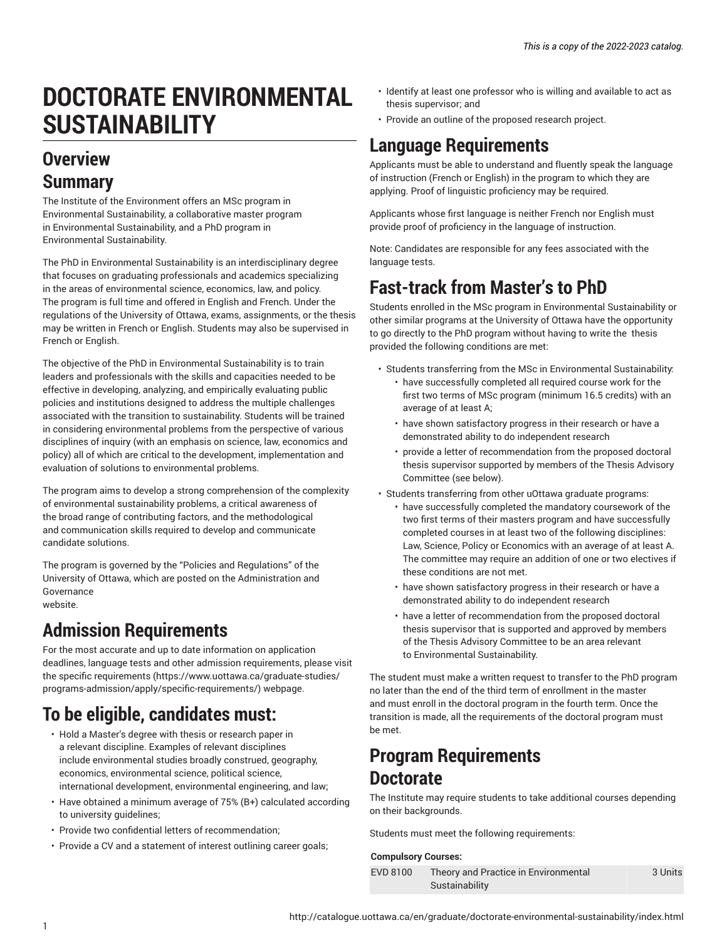# **DOCTORATE ENVIRONMENTAL SUSTAINABILITY**

# **Overview Summary**

The Institute of the Environment offers an MSc program in Environmental Sustainability, a collaborative master program in Environmental Sustainability, and a PhD program in Environmental Sustainability.

The PhD in Environmental Sustainability is an interdisciplinary degree that focuses on graduating professionals and academics specializing in the areas of environmental science, economics, law, and policy. The program is full time and offered in English and French. Under the regulations of the University of Ottawa, exams, assignments, or the thesis may be written in French or English. Students may also be supervised in French or English.

The objective of the PhD in Environmental Sustainability is to train leaders and professionals with the skills and capacities needed to be effective in developing, analyzing, and empirically evaluating public policies and institutions designed to address the multiple challenges associated with the transition to sustainability. Students will be trained in considering environmental problems from the perspective of various disciplines of inquiry (with an emphasis on science, law, economics and policy) all of which are critical to the development, implementation and evaluation of solutions to environmental problems.

The program aims to develop a strong comprehension of the complexity of environmental sustainability problems, a critical awareness of the broad range of contributing factors, and the methodological and communication skills required to develop and communicate candidate solutions.

The program is governed by the "Policies and Regulations" of the University of Ottawa, which are posted on the Administration and Governance website.

# **Admission Requirements**

For the most accurate and up to date information on application deadlines, language tests and other admission requirements, please visit the specific [requirements](https://www.uottawa.ca/graduate-studies/programs-admission/apply/specific-requirements/) ([https://www.uottawa.ca/graduate-studies/](https://www.uottawa.ca/graduate-studies/programs-admission/apply/specific-requirements/) [programs-admission/apply/specific-requirements/](https://www.uottawa.ca/graduate-studies/programs-admission/apply/specific-requirements/)) webpage.

# **To be eligible, candidates must:**

- Hold a Master's degree with thesis or research paper in a relevant discipline. Examples of relevant disciplines include environmental studies broadly construed, geography, economics, environmental science, political science, international development, environmental engineering, and law;
- Have obtained a minimum average of 75% (B+) calculated according to university guidelines;
- Provide two confidential letters of recommendation;
- Provide a CV and a statement of interest outlining career goals;
- Identify at least one professor who is willing and available to act as thesis supervisor; and
- Provide an outline of the proposed research project.

# **Language Requirements**

Applicants must be able to understand and fluently speak the language of instruction (French or English) in the program to which they are applying. Proof of linguistic proficiency may be required.

Applicants whose first language is neither French nor English must provide proof of proficiency in the language of instruction.

Note: Candidates are responsible for any fees associated with the language tests.

# **Fast-track from Master's to PhD**

Students enrolled in the MSc program in Environmental Sustainability or other similar programs at the University of Ottawa have the opportunity to go directly to the PhD program without having to write the thesis provided the following conditions are met:

- Students transferring from the MSc in Environmental Sustainability:
	- have successfully completed all required course work for the first two terms of MSc program (minimum 16.5 credits) with an average of at least A;
	- have shown satisfactory progress in their research or have a demonstrated ability to do independent research
	- provide a letter of recommendation from the proposed doctoral thesis supervisor supported by members of the Thesis Advisory Committee (see below).
- Students transferring from other uOttawa graduate programs:
	- have successfully completed the mandatory coursework of the two first terms of their masters program and have successfully completed courses in at least two of the following disciplines: Law, Science, Policy or Economics with an average of at least A. The committee may require an addition of one or two electives if these conditions are not met.
	- have shown satisfactory progress in their research or have a demonstrated ability to do independent research
	- have a letter of recommendation from the proposed doctoral thesis supervisor that is supported and approved by members of the Thesis Advisory Committee to be an area relevant to Environmental Sustainability.

The student must make a written request to transfer to the PhD program no later than the end of the third term of enrollment in the master and must enroll in the doctoral program in the fourth term. Once the transition is made, all the requirements of the doctoral program must be met.

# **Program Requirements Doctorate**

The Institute may require students to take additional courses depending on their backgrounds.

Students must meet the following requirements:

### **Compulsory Courses:**

| EVD 8100 | Theory and Practice in Environmental | 3 Units |
|----------|--------------------------------------|---------|
|          | Sustainability                       |         |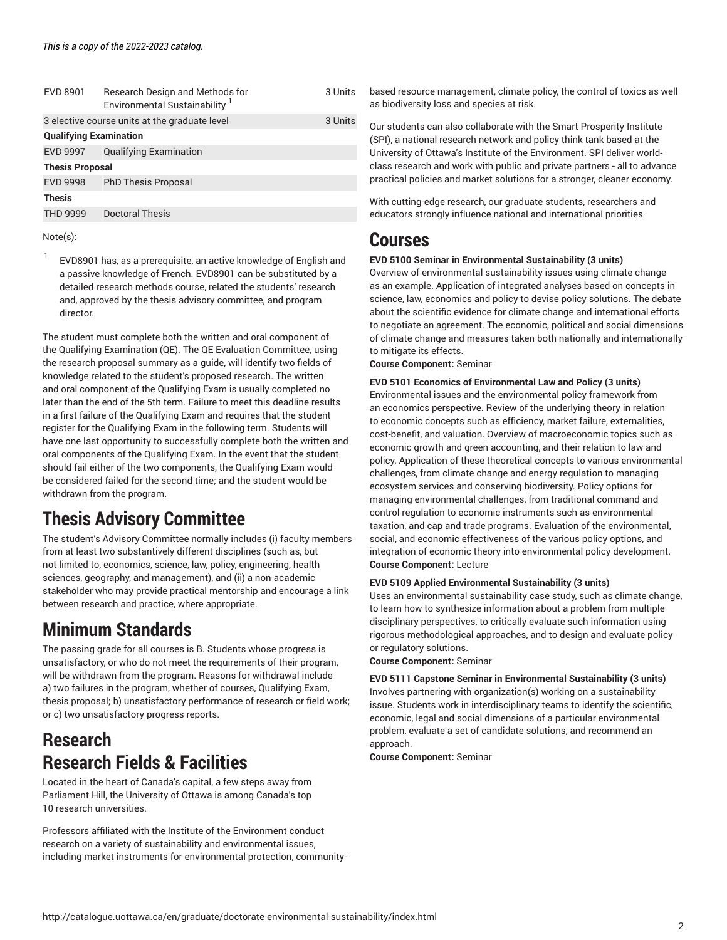| EVD 8901                      | Research Design and Methods for<br><b>Environmental Sustainability</b> | 3 Units |  |
|-------------------------------|------------------------------------------------------------------------|---------|--|
|                               | 3 elective course units at the graduate level                          | 3 Units |  |
| <b>Qualifying Examination</b> |                                                                        |         |  |
| <b>EVD 9997</b>               | <b>Qualifying Examination</b>                                          |         |  |
| <b>Thesis Proposal</b>        |                                                                        |         |  |
| <b>EVD 9998</b>               | <b>PhD Thesis Proposal</b>                                             |         |  |
| <b>Thesis</b>                 |                                                                        |         |  |
| <b>THD 9999</b>               | <b>Doctoral Thesis</b>                                                 |         |  |
|                               |                                                                        |         |  |

Note(s):

1 EVD8901 has, as a prerequisite, an active knowledge of English and a passive knowledge of French. EVD8901 can be substituted by a detailed research methods course, related the students' research and, approved by the thesis advisory committee, and program director.

The student must complete both the written and oral component of the Qualifying Examination (QE). The QE Evaluation Committee, using the research proposal summary as a guide, will identify two fields of knowledge related to the student's proposed research. The written and oral component of the Qualifying Exam is usually completed no later than the end of the 5th term. Failure to meet this deadline results in a first failure of the Qualifying Exam and requires that the student register for the Qualifying Exam in the following term. Students will have one last opportunity to successfully complete both the written and oral components of the Qualifying Exam. In the event that the student should fail either of the two components, the Qualifying Exam would be considered failed for the second time; and the student would be withdrawn from the program.

# **Thesis Advisory Committee**

The student's Advisory Committee normally includes (i) faculty members from at least two substantively different disciplines (such as, but not limited to, economics, science, law, policy, engineering, health sciences, geography, and management), and (ii) a non-academic stakeholder who may provide practical mentorship and encourage a link between research and practice, where appropriate.

# **Minimum Standards**

The passing grade for all courses is B. Students whose progress is unsatisfactory, or who do not meet the requirements of their program, will be withdrawn from the program. Reasons for withdrawal include a) two failures in the program, whether of courses, Qualifying Exam, thesis proposal; b) unsatisfactory performance of research or field work; or c) two unsatisfactory progress reports.

# **Research Research Fields & Facilities**

Located in the heart of Canada's capital, a few steps away from Parliament Hill, the University of Ottawa is among Canada's top 10 research universities.

Professors affiliated with the Institute of the Environment conduct research on a variety of sustainability and environmental issues, including market instruments for environmental protection, communitybased resource management, climate policy, the control of toxics as well as biodiversity loss and species at risk.

Our students can also collaborate with the Smart Prosperity Institute (SPI), a national research network and policy think tank based at the University of Ottawa's Institute of the Environment. SPI deliver worldclass research and work with public and private partners - all to advance practical policies and market solutions for a stronger, cleaner economy.

With cutting-edge research, our graduate students, researchers and educators strongly influence national and international priorities

### **Courses**

### **EVD 5100 Seminar in Environmental Sustainability (3 units)**

Overview of environmental sustainability issues using climate change as an example. Application of integrated analyses based on concepts in science, law, economics and policy to devise policy solutions. The debate about the scientific evidence for climate change and international efforts to negotiate an agreement. The economic, political and social dimensions of climate change and measures taken both nationally and internationally to mitigate its effects.

**Course Component:** Seminar

**EVD 5101 Economics of Environmental Law and Policy (3 units)** Environmental issues and the environmental policy framework from an economics perspective. Review of the underlying theory in relation to economic concepts such as efficiency, market failure, externalities, cost-benefit, and valuation. Overview of macroeconomic topics such as economic growth and green accounting, and their relation to law and policy. Application of these theoretical concepts to various environmental challenges, from climate change and energy regulation to managing ecosystem services and conserving biodiversity. Policy options for managing environmental challenges, from traditional command and control regulation to economic instruments such as environmental taxation, and cap and trade programs. Evaluation of the environmental, social, and economic effectiveness of the various policy options, and integration of economic theory into environmental policy development. **Course Component:** Lecture

### **EVD 5109 Applied Environmental Sustainability (3 units)**

Uses an environmental sustainability case study, such as climate change, to learn how to synthesize information about a problem from multiple disciplinary perspectives, to critically evaluate such information using rigorous methodological approaches, and to design and evaluate policy or regulatory solutions.

**Course Component:** Seminar

**EVD 5111 Capstone Seminar in Environmental Sustainability (3 units)** Involves partnering with organization(s) working on a sustainability issue. Students work in interdisciplinary teams to identify the scientific, economic, legal and social dimensions of a particular environmental problem, evaluate a set of candidate solutions, and recommend an approach.

**Course Component:** Seminar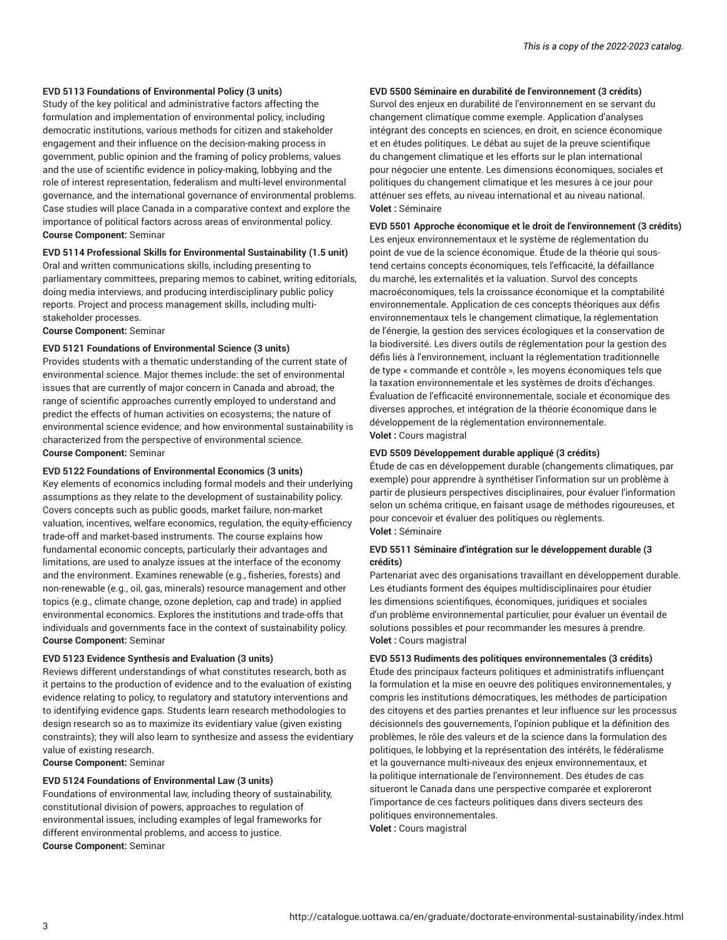#### **EVD 5113 Foundations of Environmental Policy (3 units)**

Study of the key political and administrative factors affecting the formulation and implementation of environmental policy, including democratic institutions, various methods for citizen and stakeholder engagement and their influence on the decision-making process in government, public opinion and the framing of policy problems, values and the use of scientific evidence in policy-making, lobbying and the role of interest representation, federalism and multi-level environmental governance, and the international governance of environmental problems. Case studies will place Canada in a comparative context and explore the importance of political factors across areas of environmental policy. **Course Component:** Seminar

#### **EVD 5114 Professional Skills for Environmental Sustainability (1.5 unit)**

Oral and written communications skills, including presenting to parliamentary committees, preparing memos to cabinet, writing editorials, doing media interviews, and producing interdisciplinary public policy reports. Project and process management skills, including multistakeholder processes.

**Course Component:** Seminar

#### **EVD 5121 Foundations of Environmental Science (3 units)**

Provides students with a thematic understanding of the current state of environmental science. Major themes include: the set of environmental issues that are currently of major concern in Canada and abroad; the range of scientific approaches currently employed to understand and predict the effects of human activities on ecosystems; the nature of environmental science evidence; and how environmental sustainability is characterized from the perspective of environmental science. **Course Component:** Seminar

#### **EVD 5122 Foundations of Environmental Economics (3 units)**

Key elements of economics including formal models and their underlying assumptions as they relate to the development of sustainability policy. Covers concepts such as public goods, market failure, non-market valuation, incentives, welfare economics, regulation, the equity-efficiency trade-off and market-based instruments. The course explains how fundamental economic concepts, particularly their advantages and limitations, are used to analyze issues at the interface of the economy and the environment. Examines renewable (e.g., fisheries, forests) and non-renewable (e.g., oil, gas, minerals) resource management and other topics (e.g., climate change, ozone depletion, cap and trade) in applied environmental economics. Explores the institutions and trade-offs that individuals and governments face in the context of sustainability policy. **Course Component:** Seminar

#### **EVD 5123 Evidence Synthesis and Evaluation (3 units)**

Reviews different understandings of what constitutes research, both as it pertains to the production of evidence and to the evaluation of existing evidence relating to policy, to regulatory and statutory interventions and to identifying evidence gaps. Students learn research methodologies to design research so as to maximize its evidentiary value (given existing constraints); they will also learn to synthesize and assess the evidentiary value of existing research.

**Course Component:** Seminar

#### **EVD 5124 Foundations of Environmental Law (3 units)**

Foundations of environmental law, including theory of sustainability, constitutional division of powers, approaches to regulation of environmental issues, including examples of legal frameworks for different environmental problems, and access to justice. **Course Component:** Seminar

#### **EVD 5500 Séminaire en durabilité de l'environnement (3 crédits)**

Survol des enjeux en durabilité de l'environnement en se servant du changement climatique comme exemple. Application d'analyses intégrant des concepts en sciences, en droit, en science économique et en études politiques. Le débat au sujet de la preuve scientifique du changement climatique et les efforts sur le plan international pour négocier une entente. Les dimensions économiques, sociales et politiques du changement climatique et les mesures à ce jour pour atténuer ses effets, au niveau international et au niveau national. **Volet :** Séminaire

#### **EVD 5501 Approche économique et le droit de l'environnement (3 crédits)**

Les enjeux environnementaux et le système de réglementation du point de vue de la science économique. Étude de la théorie qui soustend certains concepts économiques, tels l'efficacité, la défaillance du marché, les externalités et la valuation. Survol des concepts macroéconomiques, tels la croissance économique et la comptabilité environnementale. Application de ces concepts théoriques aux défis environnementaux tels le changement climatique, la réglementation de l'énergie, la gestion des services écologiques et la conservation de la biodiversité. Les divers outils de réglementation pour la gestion des défis liés à l'environnement, incluant la réglementation traditionnelle de type « commande et contrôle », les moyens économiques tels que la taxation environnementale et les systèmes de droits d'échanges. Évaluation de l'efficacité environnementale, sociale et économique des diverses approches, et intégration de la théorie économique dans le développement de la réglementation environnementale. **Volet :** Cours magistral

#### **EVD 5509 Développement durable appliqué (3 crédits)**

Étude de cas en développement durable (changements climatiques, par exemple) pour apprendre à synthétiser l'information sur un problème à partir de plusieurs perspectives disciplinaires, pour évaluer l'information selon un schéma critique, en faisant usage de méthodes rigoureuses, et pour concevoir et évaluer des politiques ou règlements. **Volet :** Séminaire

#### **EVD 5511 Séminaire d'intégration sur le développement durable (3 crédits)**

Partenariat avec des organisations travaillant en développement durable. Les étudiants forment des équipes multidisciplinaires pour étudier les dimensions scientifiques, économiques, juridiques et sociales d'un problème environnemental particulier, pour évaluer un éventail de solutions possibles et pour recommander les mesures à prendre. **Volet :** Cours magistral

#### **EVD 5513 Rudiments des politiques environnementales (3 crédits)**

Étude des principaux facteurs politiques et administratifs influençant la formulation et la mise en oeuvre des politiques environnementales, y compris les institutions démocratiques, les méthodes de participation des citoyens et des parties prenantes et leur influence sur les processus décisionnels des gouvernements, l'opinion publique et la définition des problèmes, le rôle des valeurs et de la science dans la formulation des politiques, le lobbying et la représentation des intérêts, le fédéralisme et la gouvernance multi-niveaux des enjeux environnementaux, et la politique internationale de l'environnement. Des études de cas situeront le Canada dans une perspective comparée et exploreront l'importance de ces facteurs politiques dans divers secteurs des politiques environnementales. **Volet :** Cours magistral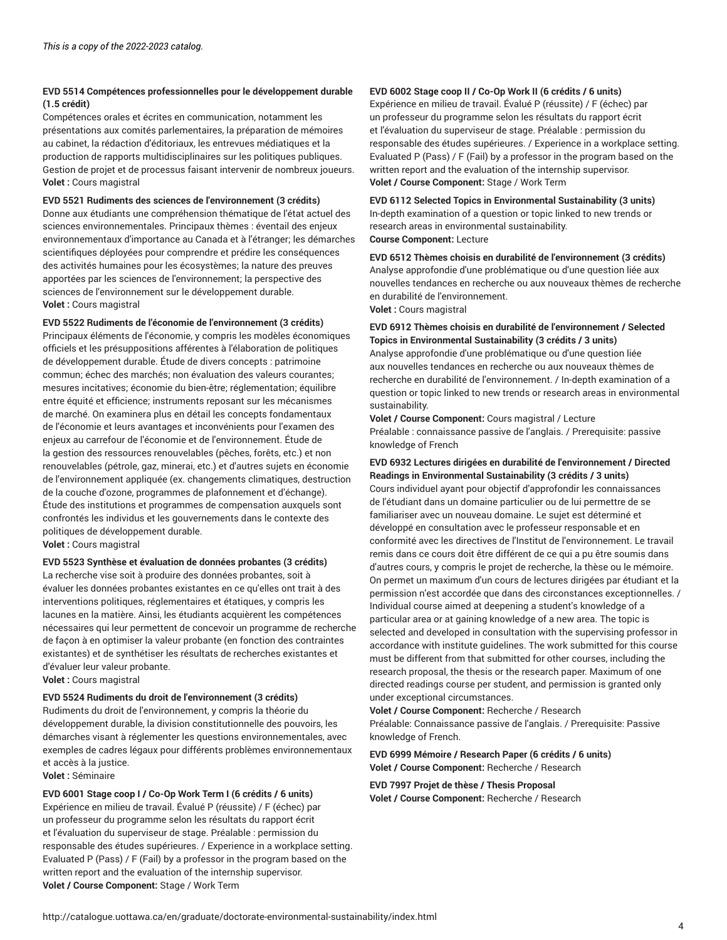### **EVD 5514 Compétences professionnelles pour le développement durable (1.5 crédit)**

Compétences orales et écrites en communication, notamment les présentations aux comités parlementaires, la préparation de mémoires au cabinet, la rédaction d'éditoriaux, les entrevues médiatiques et la production de rapports multidisciplinaires sur les politiques publiques. Gestion de projet et de processus faisant intervenir de nombreux joueurs. **Volet :** Cours magistral

#### **EVD 5521 Rudiments des sciences de l'environnement (3 crédits)**

Donne aux étudiants une compréhension thématique de l'état actuel des sciences environnementales. Principaux thèmes : éventail des enjeux environnementaux d'importance au Canada et à l'étranger; les démarches scientifiques déployées pour comprendre et prédire les conséquences des activités humaines pour les écosystèmes; la nature des preuves apportées par les sciences de l'environnement; la perspective des sciences de l'environnement sur le développement durable. **Volet :** Cours magistral

#### **EVD 5522 Rudiments de l'économie de l'environnement (3 crédits)**

Principaux éléments de l'économie, y compris les modèles économiques officiels et les présuppositions afférentes à l'élaboration de politiques de développement durable. Étude de divers concepts : patrimoine commun; échec des marchés; non évaluation des valeurs courantes; mesures incitatives; économie du bien-être; réglementation; équilibre entre équité et efficience; instruments reposant sur les mécanismes de marché. On examinera plus en détail les concepts fondamentaux de l'économie et leurs avantages et inconvénients pour l'examen des enjeux au carrefour de l'économie et de l'environnement. Étude de la gestion des ressources renouvelables (pêches, forêts, etc.) et non renouvelables (pétrole, gaz, minerai, etc.) et d'autres sujets en économie de l'environnement appliquée (ex. changements climatiques, destruction de la couche d'ozone, programmes de plafonnement et d'échange). Étude des institutions et programmes de compensation auxquels sont confrontés les individus et les gouvernements dans le contexte des politiques de développement durable.

**Volet :** Cours magistral

#### **EVD 5523 Synthèse et évaluation de données probantes (3 crédits)**

La recherche vise soit à produire des données probantes, soit à évaluer les données probantes existantes en ce qu'elles ont trait à des interventions politiques, réglementaires et étatiques, y compris les lacunes en la matière. Ainsi, les étudiants acquièrent les compétences nécessaires qui leur permettent de concevoir un programme de recherche de façon à en optimiser la valeur probante (en fonction des contraintes existantes) et de synthétiser les résultats de recherches existantes et d'évaluer leur valeur probante.

**Volet :** Cours magistral

#### **EVD 5524 Rudiments du droit de l'environnement (3 crédits)**

Rudiments du droit de l'environnement, y compris la théorie du développement durable, la division constitutionnelle des pouvoirs, les démarches visant à réglementer les questions environnementales, avec exemples de cadres légaux pour différents problèmes environnementaux et accès à la justice.

**Volet :** Séminaire

**EVD 6001 Stage coop I / Co-Op Work Term I (6 crédits / 6 units)** Expérience en milieu de travail. Évalué P (réussite) / F (échec) par un professeur du programme selon les résultats du rapport écrit et l'évaluation du superviseur de stage. Préalable : permission du responsable des études supérieures. / Experience in a workplace setting. Evaluated P (Pass) / F (Fail) by a professor in the program based on the written report and the evaluation of the internship supervisor. **Volet / Course Component:** Stage / Work Term

### **EVD 6002 Stage coop II / Co-Op Work II (6 crédits / 6 units)**

Expérience en milieu de travail. Évalué P (réussite) / F (échec) par un professeur du programme selon les résultats du rapport écrit et l'évaluation du superviseur de stage. Préalable : permission du responsable des études supérieures. / Experience in a workplace setting. Evaluated P (Pass) / F (Fail) by a professor in the program based on the written report and the evaluation of the internship supervisor. **Volet / Course Component:** Stage / Work Term

**EVD 6112 Selected Topics in Environmental Sustainability (3 units)** In-depth examination of a question or topic linked to new trends or research areas in environmental sustainability. **Course Component:** Lecture

**EVD 6512 Thèmes choisis en durabilité de l'environnement (3 crédits)** Analyse approfondie d'une problématique ou d'une question liée aux nouvelles tendances en recherche ou aux nouveaux thèmes de recherche en durabilité de l'environnement.

**Volet :** Cours magistral

### **EVD 6912 Thèmes choisis en durabilité de l'environnement / Selected Topics in Environmental Sustainability (3 crédits / 3 units)**

Analyse approfondie d'une problématique ou d'une question liée aux nouvelles tendances en recherche ou aux nouveaux thèmes de recherche en durabilité de l'environnement. / In-depth examination of a question or topic linked to new trends or research areas in environmental sustainability.

**Volet / Course Component:** Cours magistral / Lecture Préalable : connaissance passive de l'anglais. / Prerequisite: passive knowledge of French

### **EVD 6932 Lectures dirigées en durabilité de l'environnement / Directed Readings in Environmental Sustainability (3 crédits / 3 units)**

Cours individuel ayant pour objectif d'approfondir les connaissances de l'étudiant dans un domaine particulier ou de lui permettre de se familiariser avec un nouveau domaine. Le sujet est déterminé et développé en consultation avec le professeur responsable et en conformité avec les directives de l'Institut de l'environnement. Le travail remis dans ce cours doit être différent de ce qui a pu être soumis dans d'autres cours, y compris le projet de recherche, la thèse ou le mémoire. On permet un maximum d'un cours de lectures dirigées par étudiant et la permission n'est accordée que dans des circonstances exceptionnelles. / Individual course aimed at deepening a student's knowledge of a particular area or at gaining knowledge of a new area. The topic is selected and developed in consultation with the supervising professor in accordance with institute guidelines. The work submitted for this course must be different from that submitted for other courses, including the research proposal, the thesis or the research paper. Maximum of one directed readings course per student, and permission is granted only under exceptional circumstances.

**Volet / Course Component:** Recherche / Research

Préalable: Connaissance passive de l'anglais. / Prerequisite: Passive knowledge of French.

**EVD 6999 Mémoire / Research Paper (6 crédits / 6 units) Volet / Course Component:** Recherche / Research

### **EVD 7997 Projet de thèse / Thesis Proposal Volet / Course Component:** Recherche / Research